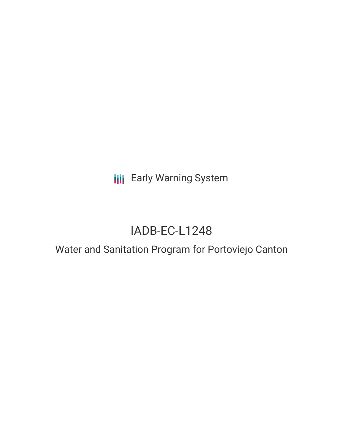**III** Early Warning System

# IADB-EC-L1248

## Water and Sanitation Program for Portoviejo Canton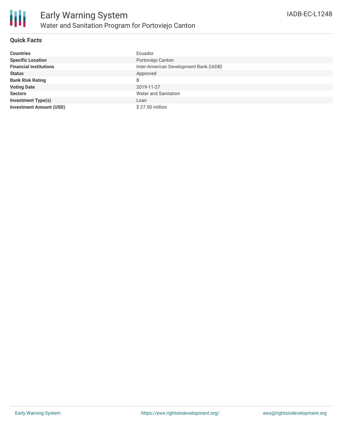#### **Quick Facts**

| <b>Countries</b>               | Ecuador                                |
|--------------------------------|----------------------------------------|
| <b>Specific Location</b>       | Portoviejo Canton                      |
| <b>Financial Institutions</b>  | Inter-American Development Bank (IADB) |
| <b>Status</b>                  | Approved                               |
| <b>Bank Risk Rating</b>        | B                                      |
| <b>Voting Date</b>             | 2019-11-27                             |
| <b>Sectors</b>                 | Water and Sanitation                   |
| <b>Investment Type(s)</b>      | Loan                                   |
| <b>Investment Amount (USD)</b> | $$27.50$ million                       |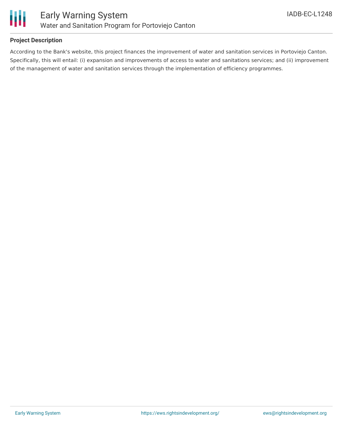

#### **Project Description**

According to the Bank's website, this project finances the improvement of water and sanitation services in Portoviejo Canton. Specifically, this will entail: (i) expansion and improvements of access to water and sanitations services; and (ii) improvement of the management of water and sanitation services through the implementation of efficiency programmes.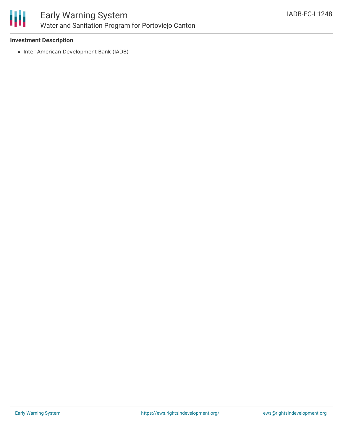

## Early Warning System Water and Sanitation Program for Portoviejo Canton

#### **Investment Description**

• Inter-American Development Bank (IADB)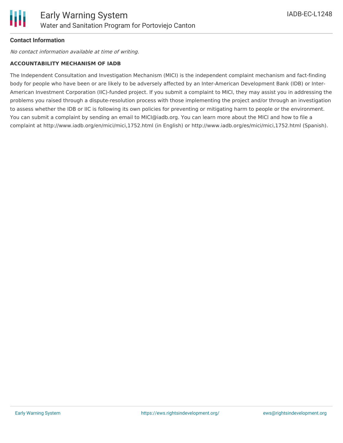

### **Contact Information**

No contact information available at time of writing.

#### **ACCOUNTABILITY MECHANISM OF IADB**

The Independent Consultation and Investigation Mechanism (MICI) is the independent complaint mechanism and fact-finding body for people who have been or are likely to be adversely affected by an Inter-American Development Bank (IDB) or Inter-American Investment Corporation (IIC)-funded project. If you submit a complaint to MICI, they may assist you in addressing the problems you raised through a dispute-resolution process with those implementing the project and/or through an investigation to assess whether the IDB or IIC is following its own policies for preventing or mitigating harm to people or the environment. You can submit a complaint by sending an email to MICI@iadb.org. You can learn more about the MICI and how to file a complaint at http://www.iadb.org/en/mici/mici,1752.html (in English) or http://www.iadb.org/es/mici/mici,1752.html (Spanish).